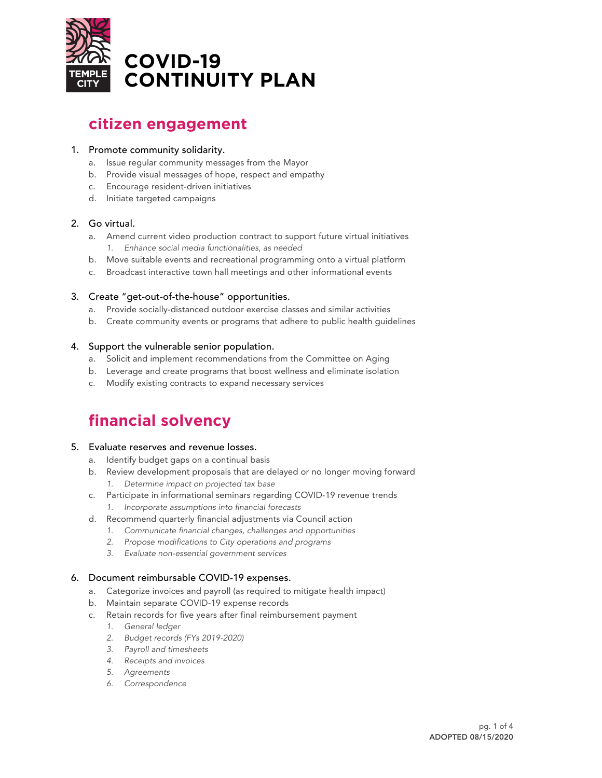

# **citizen engagement**

#### 1. Promote community solidarity.

- a. Issue regular community messages from the Mayor
- b. Provide visual messages of hope, respect and empathy
- c. Encourage resident-driven initiatives
- d. Initiate targeted campaigns

# 2. Go virtual.

- a. Amend current video production contract to support future virtual initiatives *1. Enhance social media functionalities, as needed*
- b. Move suitable events and recreational programming onto a virtual platform
- c. Broadcast interactive town hall meetings and other informational events

# 3. Create "get-out-of-the-house" opportunities.

- a. Provide socially-distanced outdoor exercise classes and similar activities
- b. Create community events or programs that adhere to public health guidelines

# 4. Support the vulnerable senior population.

- a. Solicit and implement recommendations from the Committee on Aging
- b. Leverage and create programs that boost wellness and eliminate isolation
- c. Modify existing contracts to expand necessary services

# **financial solvency**

#### 5. Evaluate reserves and revenue losses.

- a. Identify budget gaps on a continual basis
- b. Review development proposals that are delayed or no longer moving forward *1. Determine impact on projected tax base*
- c. Participate in informational seminars regarding COVID-19 revenue trends *1. Incorporate assumptions into financial forecasts*
- d. Recommend quarterly financial adjustments via Council action
	- *1. Communicate financial changes, challenges and opportunities*
		- *2. Propose modifications to City operations and programs*
	- *3. Evaluate non-essential government services*

# 6. Document reimbursable COVID-19 expenses.

- a. Categorize invoices and payroll (as required to mitigate health impact)
- b. Maintain separate COVID-19 expense records
- c. Retain records for five years after final reimbursement payment
	- *1. General ledger*
	- *2. Budget records (FYs 2019-2020)*
	- *3. Payroll and timesheets*
	- *4. Receipts and invoices*
	- *5. Agreements*
	- *6. Correspondence*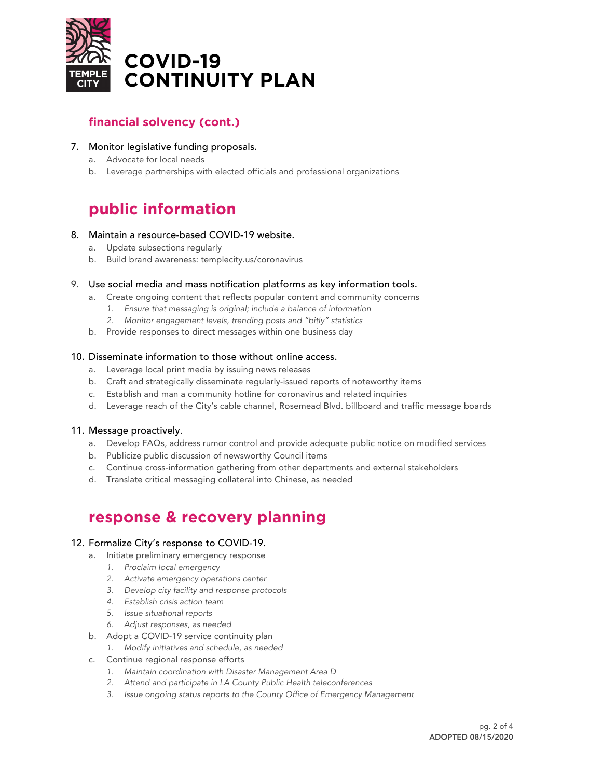

# **financial solvency (cont.)**

# 7. Monitor legislative funding proposals.

- a. Advocate for local needs
- b. Leverage partnerships with elected officials and professional organizations

# **public information**

#### 8. Maintain a resource-based COVID-19 website.

- a. Update subsections regularly
- b. Build brand awareness: templecity.us/coronavirus

# 9. Use social media and mass notification platforms as key information tools.

- a. Create ongoing content that reflects popular content and community concerns
	- *1. Ensure that messaging is original; include a balance of information*
	- *2. Monitor engagement levels, trending posts and "bitly" statistics*
- b. Provide responses to direct messages within one business day

# 10. Disseminate information to those without online access.

- a. Leverage local print media by issuing news releases
- b. Craft and strategically disseminate regularly-issued reports of noteworthy items
- c. Establish and man a community hotline for coronavirus and related inquiries
- d. Leverage reach of the City's cable channel, Rosemead Blvd. billboard and traffic message boards

# 11. Message proactively.

- a. Develop FAQs, address rumor control and provide adequate public notice on modified services
- b. Publicize public discussion of newsworthy Council items
- c. Continue cross-information gathering from other departments and external stakeholders
- d. Translate critical messaging collateral into Chinese, as needed

# **response & recovery planning**

#### 12. Formalize City's response to COVID-19.

- a. Initiate preliminary emergency response
	- *1. Proclaim local emergency*
	- *2. Activate emergency operations center*
	- *3. Develop city facility and response protocols*
	- *4. Establish crisis action team*
	- *5. Issue situational reports*
	- *6. Adjust responses, as needed*
- b. Adopt a COVID-19 service continuity plan
	- *1. Modify initiatives and schedule, as needed*
- c. Continue regional response efforts
	- *1. Maintain coordination with Disaster Management Area D*
	- *2. Attend and participate in LA County Public Health teleconferences*
	- *3. Issue ongoing status reports to the County Office of Emergency Management*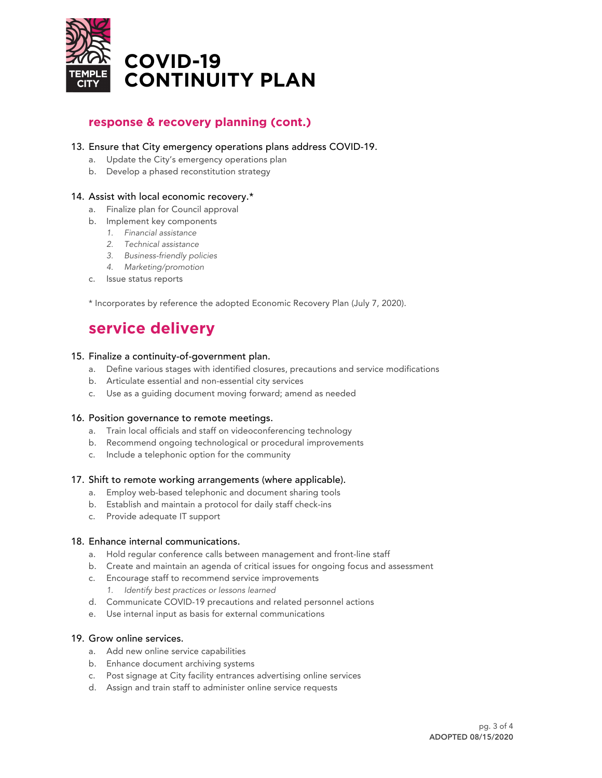

# **response & recovery planning (cont.)**

#### 13. Ensure that City emergency operations plans address COVID-19.

- a. Update the City's emergency operations plan
- b. Develop a phased reconstitution strategy

#### 14. Assist with local economic recovery.\*

#### a. Finalize plan for Council approval

- b. Implement key components
	- *1. Financial assistance*
	- *2. Technical assistance*
	- *3. Business-friendly policies*
	- *4. Marketing/promotion*
- c. Issue status reports

\* Incorporates by reference the adopted Economic Recovery Plan (July 7, 2020).

# **service delivery**

#### 15. Finalize a continuity-of-government plan.

- a. Define various stages with identified closures, precautions and service modifications
- b. Articulate essential and non-essential city services
- c. Use as a guiding document moving forward; amend as needed

#### 16. Position governance to remote meetings.

- a. Train local officials and staff on videoconferencing technology
- b. Recommend ongoing technological or procedural improvements
- c. Include a telephonic option for the community

#### 17. Shift to remote working arrangements (where applicable).

- a. Employ web-based telephonic and document sharing tools
- b. Establish and maintain a protocol for daily staff check-ins
- c. Provide adequate IT support

#### 18. Enhance internal communications.

- a. Hold regular conference calls between management and front-line staff
- b. Create and maintain an agenda of critical issues for ongoing focus and assessment
- c. Encourage staff to recommend service improvements
	- *1. Identify best practices or lessons learned*
- d. Communicate COVID-19 precautions and related personnel actions
- e. Use internal input as basis for external communications

#### 19. Grow online services.

- a. Add new online service capabilities
- b. Enhance document archiving systems
- c. Post signage at City facility entrances advertising online services
- d. Assign and train staff to administer online service requests